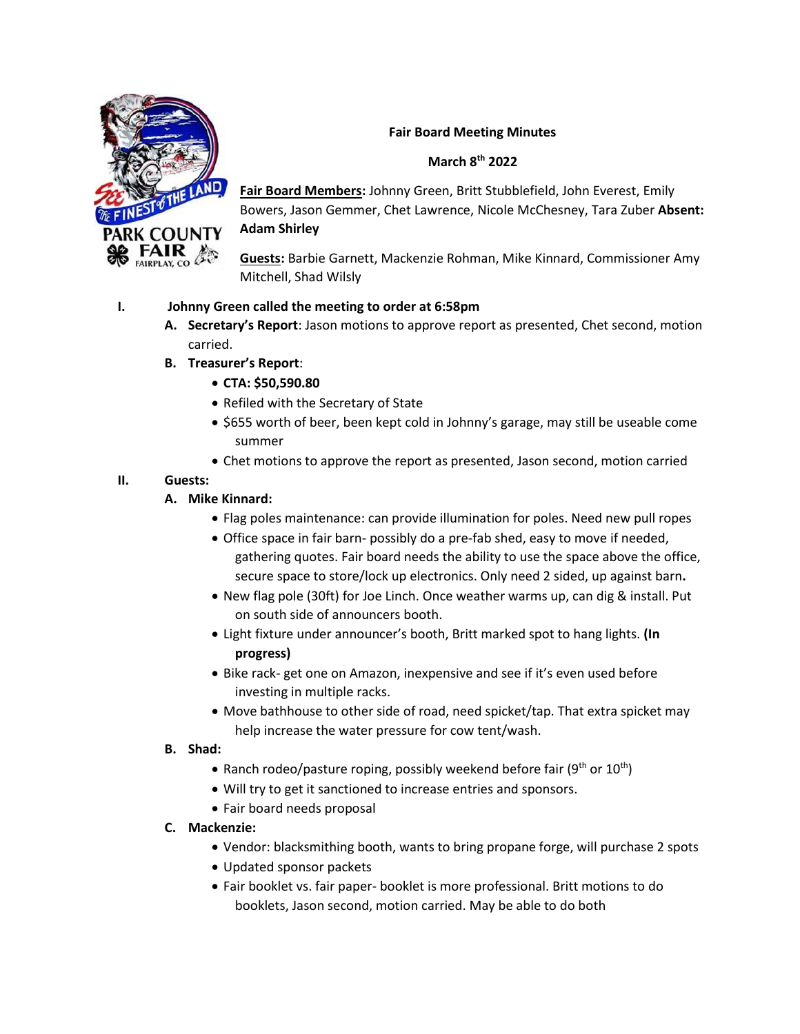

### **Fair Board Meeting Minutes**

#### **March 8th 2022**

**Fair Board Members:** Johnny Green, Britt Stubblefield, John Everest, Emily Bowers, Jason Gemmer, Chet Lawrence, Nicole McChesney, Tara Zuber **Absent: Adam Shirley**

**Guests:** Barbie Garnett, Mackenzie Rohman, Mike Kinnard, Commissioner Amy Mitchell, Shad Wilsly

### **I. Johnny Green called the meeting to order at 6:58pm**

- **A. Secretary's Report**: Jason motions to approve report as presented, Chet second, motion carried.
- **B. Treasurer's Report**:
	- **CTA: \$50,590.80**
	- Refiled with the Secretary of State
	- \$655 worth of beer, been kept cold in Johnny's garage, may still be useable come summer
	- Chet motions to approve the report as presented, Jason second, motion carried

## **II. Guests:**

- **A. Mike Kinnard:** 
	- Flag poles maintenance: can provide illumination for poles. Need new pull ropes
	- Office space in fair barn- possibly do a pre-fab shed, easy to move if needed, gathering quotes. Fair board needs the ability to use the space above the office, secure space to store/lock up electronics. Only need 2 sided, up against barn**.**
	- New flag pole (30ft) for Joe Linch. Once weather warms up, can dig & install. Put on south side of announcers booth.
	- Light fixture under announcer's booth, Britt marked spot to hang lights. **(In progress)**
	- Bike rack- get one on Amazon, inexpensive and see if it's even used before investing in multiple racks.
	- Move bathhouse to other side of road, need spicket/tap. That extra spicket may help increase the water pressure for cow tent/wash.

### **B. Shad:**

- Ranch rodeo/pasture roping, possibly weekend before fair ( $9<sup>th</sup>$  or  $10<sup>th</sup>$ )
- Will try to get it sanctioned to increase entries and sponsors.
- Fair board needs proposal

### **C. Mackenzie:**

- Vendor: blacksmithing booth, wants to bring propane forge, will purchase 2 spots
- Updated sponsor packets
- Fair booklet vs. fair paper- booklet is more professional. Britt motions to do booklets, Jason second, motion carried. May be able to do both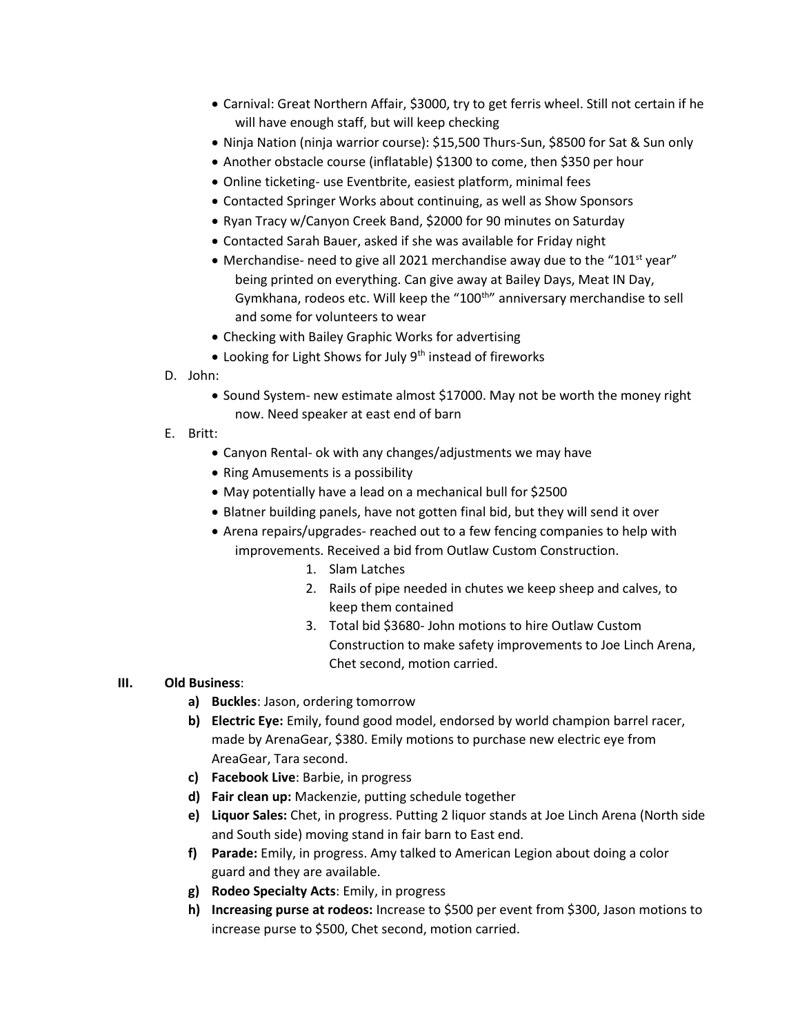- Carnival: Great Northern Affair, \$3000, try to get ferris wheel. Still not certain if he will have enough staff, but will keep checking
- Ninja Nation (ninja warrior course): \$15,500 Thurs-Sun, \$8500 for Sat & Sun only
- Another obstacle course (inflatable) \$1300 to come, then \$350 per hour
- Online ticketing- use Eventbrite, easiest platform, minimal fees
- Contacted Springer Works about continuing, as well as Show Sponsors
- Ryan Tracy w/Canyon Creek Band, \$2000 for 90 minutes on Saturday
- Contacted Sarah Bauer, asked if she was available for Friday night
- Merchandise- need to give all 2021 merchandise away due to the "101<sup>st</sup> year" being printed on everything. Can give away at Bailey Days, Meat IN Day, Gymkhana, rodeos etc. Will keep the "100<sup>th</sup>" anniversary merchandise to sell and some for volunteers to wear
- Checking with Bailey Graphic Works for advertising
- Looking for Light Shows for July  $9<sup>th</sup>$  instead of fireworks
- D. John:
	- Sound System- new estimate almost \$17000. May not be worth the money right now. Need speaker at east end of barn
- E. Britt:
	- Canyon Rental- ok with any changes/adjustments we may have
	- Ring Amusements is a possibility
	- May potentially have a lead on a mechanical bull for \$2500
	- Blatner building panels, have not gotten final bid, but they will send it over
	- Arena repairs/upgrades- reached out to a few fencing companies to help with improvements. Received a bid from Outlaw Custom Construction.
		- 1. Slam Latches
		- 2. Rails of pipe needed in chutes we keep sheep and calves, to keep them contained
		- 3. Total bid \$3680- John motions to hire Outlaw Custom Construction to make safety improvements to Joe Linch Arena, Chet second, motion carried.

### **III. Old Business**:

- **a) Buckles**: Jason, ordering tomorrow
- **b) Electric Eye:** Emily, found good model, endorsed by world champion barrel racer, made by ArenaGear, \$380. Emily motions to purchase new electric eye from AreaGear, Tara second.
- **c) Facebook Live**: Barbie, in progress
- **d) Fair clean up:** Mackenzie, putting schedule together
- **e) Liquor Sales:** Chet, in progress. Putting 2 liquor stands at Joe Linch Arena (North side and South side) moving stand in fair barn to East end.
- **f) Parade:** Emily, in progress. Amy talked to American Legion about doing a color guard and they are available.
- **g) Rodeo Specialty Acts**: Emily, in progress
- **h) Increasing purse at rodeos:** Increase to \$500 per event from \$300, Jason motions to increase purse to \$500, Chet second, motion carried.